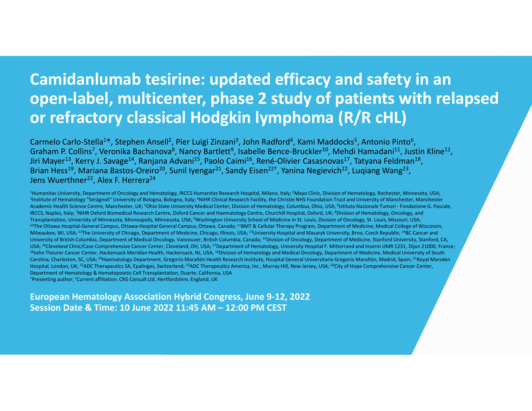#### **Camidanlumab tesirine: updated efficacy and safety in an open‐label, multicenter, phase 2 study of patients with relapsed or refractory classical Hodgkin lymphoma (R/R cHL)**

Carmelo Carlo-Stella<sup>1\*</sup>, Stephen Ansell<sup>2</sup>, Pier Luigi Zinzani<sup>3</sup>, John Radford<sup>4</sup>, Kami Maddocks<sup>5</sup>, Antonio Pinto<sup>6</sup>, Graham P. Collins<sup>7</sup>, Veronika Bachanova<sup>8</sup>, Nancy Bartlett<sup>9</sup>, Isabelle Bence-Bruckler<sup>10</sup>, Mehdi Hamadani<sup>11</sup>, Justin Kline<sup>12</sup>, Jiri Mayer<sup>13</sup>, Kerry J. Savage<sup>14</sup>, Ranjana Advani<sup>15</sup>, Paolo Caimi<sup>16</sup>, René-Olivier Casasnovas<sup>17</sup>, Tatyana Feldman<sup>18</sup>, Brian Hess<sup>19</sup>, Mariana Bastos-Oreiro<sup>20</sup>, Sunil Iyengar<sup>21</sup>, Sandy Eisen<sup>22†</sup>, Yanina Negievich<sup>22</sup>, Luqiang Wang<sup>23</sup>, Jens Wuerthner<sup>22</sup>, Alex F. Herrera<sup>24</sup>

<sup>1</sup>Humanitas University, Department of Oncology and Hematology, IRCCS Humanitas Research Hospital, Milano, Italy; <sup>2</sup>Mayo Clinic, Division of Hematology, Rochester, Minnesota, USA; <sup>3</sup>Institute of Hematology "Seràgnoli" University of Bologna, Bologna, Italy; <sup>4</sup>NIHR Clinical Research Facility, the Christie NHS Foundation Trust and University of Manchester, Manchester Academic Health Science Centre, Manchester, UK; <sup>5</sup>Ohio State University Medical Center, Division of Hematology, Columbus, Ohio, USA; <sup>6</sup>Istituto Nazionale Tumori - Fondazione G. Pascale, IRCCS, Naples, Italy; <sup>7</sup>NIHR Oxford Biomedical Research Centre, Oxford Cancer and Haematology Centre, Churchill Hospital, Oxford, UK; <sup>8</sup>Division of Hematology, Oncology, and Transplantation, University of Minnesota, Minneapolis, Minnesota, USA; <sup>9</sup>Washington University School of Medicine in St. Louis, Division of Oncology, St. Louis, Missouri, USA; <sup>10</sup>The Ottawa Hospital-General Campus, Ottawa-Hospital General Campus, Ottawa, Canada; <sup>11</sup>BMT & Cellular Therapy Program, Department of Medicine, Medical College of Wisconsin, Milwaukee, WI, USA; <sup>12</sup>The University of Chicago, Department of Medicine, Chicago, Illinois, USA; <sup>13</sup>University Hospital and Masaryk University, Brno, Czech Republic; <sup>14</sup>BC Cancer and University of British Columbia, Department of Medical Oncology, Vancouver, British Columbia, Canada; 15Division of Oncology, Department of Medicine, Stanford University, Stanford, CA, USA; <sup>16</sup>Cleveland Clinic/Case Comprehensive Cancer Center, Cleveland, OH, USA; <sup>17</sup>Department of Hematology, University Hospital F. Mitterrand and Inserm UMR 1231, Dijon 21000, France; 18John Theurer Cancer Center, Hackensack Meridian Health, Hackensack, NJ, USA; <sup>19</sup>Division of Hematology and Medical Oncology, Department of Medicine, Medical University of South Carolina, Charleston, SC, USA; <sup>20</sup>Haematology Department, Gregorio Marañón Health Research Institute, Hospital General Universitario Gregorio Marañón, Madrid, Spain; <sup>21</sup>Royal Marsden Hospital, London, UK; <sup>22</sup>ADC Therapeutics SA, Epalinges, Switzerland; <sup>23</sup>ADC Therapeutics America, Inc., Murray Hill, New Jersey, USA; <sup>24</sup>City of Hope Comprehensive Cancer Center, Department of Hematology & Hematopoietic Cell Transplantation, Duarte, California, USA \*Presenting author; †Current affiliation: CNS Consult Ltd, Hertfordshire, England, UK

**European Hematology Association Hybrid Congress, June 9‐12, 202 2 Session Date & Time: 10 June 2022 11:45 AM – 12:00 PM CEST**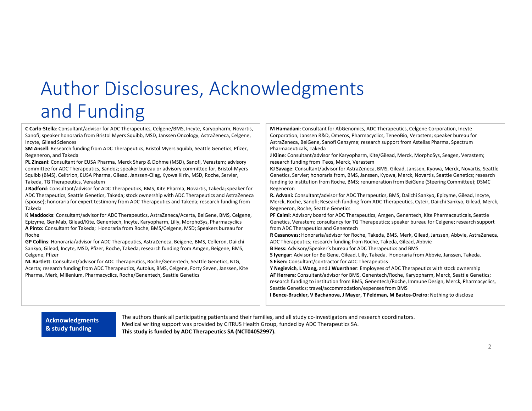# Author Disclosures, Acknowledgments and Funding

**C Carlo‐Stella**: Consultant/advisor for ADC Therapeutics, Celgene/BMS, Incyte, Karyopharm, Novartis, Sanofi; speaker honoraria from Bristol Myers Squibb, MSD, Janssen Oncology, AstraZeneca, Celgene, Incyte, Gilead Sciences

**SM Ansell**: Research funding from ADC Therapeutics, Bristol Myers Squibb, Seattle Genetics, Pfizer, Regeneron, and Takeda

**PL Zinzani**: Consultant for EUSA Pharma, Merck Sharp & Dohme (MSD), Sanofi, Verastem; advisory committee for ADC Therapeutics, Sandoz; speaker bureau or advisory committee for, Bristol‐Myers Squibb (BMS), Celltrion, EUSA Pharma, Gilead, Janssen‐Cilag, Kyowa Kirin, MSD, Roche, Servier, Takeda, TG Therapeutics, Verastem

**J Radford**: Consultant/advisor for ADC Therapeutics, BMS, Kite Pharma, Novartis, Takeda; speaker for ADC Therapeutics, Seattle Genetics, Takeda; stock ownership with ADC Therapeutics and AstraZeneca (spouse); honoraria for expert testimony from ADC Therapeutics and Takeda; research funding from Takeda

**K Maddocks**: Consultant/advisor for ADC Therapeutics, AstraZeneca/Acerta, BeiGene, BMS, Celgene, Epizyme, GenMab, Gilead/Kite, Genentech, Incyte, Karyopharm, Lilly, MorphoSys, Pharmacyclics **A Pinto:** Consultant for Takeda; Honoraria from Roche, BMS/Celgene, MSD; Speakers bureau for Roche

**GP Collins**: Honoraria/advisor for ADC Therapeutics, AstraZeneca, Beigene, BMS, Celleron, Daiichi Sankyo, Gilead, Incyte, MSD, Pfizer, Roche, Takeda; research funding from Amgen, Beigene, BMS, Celgene, Pfizer

**NL Bartlett**: Consultant/advisor for ADC Therapeutics, Roche/Genentech, Seattle Genetics, BTG, Acerta; research funding from ADC Therapeutics, Autolus, BMS, Celgene, Forty Seven, Janssen, Kite Pharma, Merk, Millenium, Pharmacyclics, Roche/Genentech, Seattle Genetics

**M Hamadani**: Consultant for AbGenomics, ADC Therapeutics, Celgene Corporation, Incyte Corporation, Janssen R&D, Omeros, Pharmacyclics, TeneoBio, Verastem; speaker bureau for AstraZeneca, BeiGene, Sanofi Genzyme; research support from Astellas Pharma, Spectrum Pharmaceuticals, Takeda

**J Kline**: Consultant/advisor for Karyopharm, Kite/Gilead, Merck, MorphoSys, Seagen, Verastem; research funding from iTeos, Merck, Verastem

**KJ Savage**: Consultant/advisor for AstraZeneca, BMS, Gilead, Janssen, Kyowa, Merck, Novartis, Seattle Genetics, Servier; honoraria from, BMS, Janssen, Kyowa, Merck, Novartis, Seattle Genetics; research funding to institution from Roche, BMS; renumeration from BeiGene (Steering Committee); DSMC Regeneron

**R. Advani:** Consultant/advisor for ADC Therapeutics, BMS, Daiichi Sankyo, Epizyme, Gilead, Incyte, Merck, Roche, Sanofi; Research funding from ADC Therapeutics, Cyteir, Daiichi Sankyo, Gilead, Merck, Regeneron, Roche, Seattle Genetics

**PF Caimi**: Advisory board for ADC Therapeutics, Amgen, Genentech, Kite Pharmaceuticals, Seattle Genetics, Verastem; consultancy for TG Therapeutics; speaker bureau for Celgene; research support from ADC Therapeutics and Genentech

**R Casanovas:** Honoraria/advisor for Roche, Takeda, BMS, Merk, Gilead, Janssen, Abbvie, AstraZeneca, ADC Therapeutics; research funding from Roche, Takeda, Gilead, Abbvie

**B Hess:** Advisory/Speaker's bureau for ADC Therapeutics and BMS

**S Iyengar:** Advisor for BeiGene, Gilead, Lilly, Takeda. Honoraria from Abbvie, Janssen, Takeda. **S Eisen:** Consultant/contractor for ADC Therapeutics

**Y Negievich**, **L Wang,** and **J Wuerthner**: Employees of ADC Therapeutics with stock ownership **AF Herrera**: Consultant/advisor for BMS, Genentech/Roche, Karyopharm, Merck, Seattle Genetics; research funding to institution from BMS, Genentech/Roche, Immune Design, Merck, Pharmacyclics, Seattle Genetics; travel/accommodation/expenses from BMS

**I Bence‐Bruckler, V Bachanova, J Mayer, T Feldman, M Bastos‐Oreiro:** Nothing to disclose

#### **Acknowledgments & study funding**

The authors thank all participating patients and their families, and all study co‐investigators and research coordinators. **:** Medical writing support was provided by CiTRUS Health Group, funded by ADC Therapeutics SA. **This study is funded by ADC Therapeutics SA (NCT04052997).**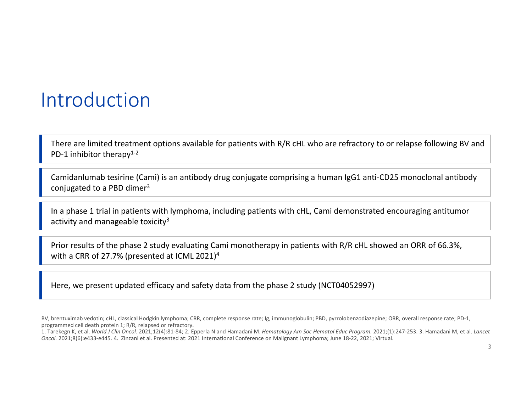### Introduction

There are limited treatment options available for patients with R/R cHL who are refractory to or relapse following BV and PD-1 inhibitor therapy $1-2$ 

Camidanlumab tesirine (Cami) is an antibody drug conjugate comprising a human IgG1 anti‐CD25 monoclonal antibody conjugated to a PBD dimer3

In a phase 1 trial in patients with lymphoma, including patients with cHL, Cami demonstrated encouraging antitumor activity and manageable toxicity<sup>3</sup>

Prior results of the phase 2 study evaluating Cami monotherapy in patients with R/R cHL showed an ORR of 66.3%, with a CRR of 27.7% (presented at ICML 2021)4

Here, we present updated efficacy and safety data from the phase 2 study (NCT04052997)

BV, brentuximab vedotin; cHL, classical Hodgkin lymphoma; CRR, complete response rate; Ig, immunoglobulin; PBD, pyrrolobenzodiazepine; ORR, overall response rate; PD‐1, programmed cell death protein 1; R/R, relapsed or refractory.

<sup>1.</sup> Tarekegn K, et al. *World J Clin Oncol.* 2021;12(4):81‐84; 2. Epperla N and Hamadani M. *Hematology Am Soc Hematol Educ Program.* 2021;(1):247‐253. 3. Hamadani M, et al. *Lancet Oncol.* 2021;8(6):e433‐e445. 4. Zinzani et al. Presented at: 2021 International Conference on Malignant Lymphoma; June 18‐22, 2021; Virtual.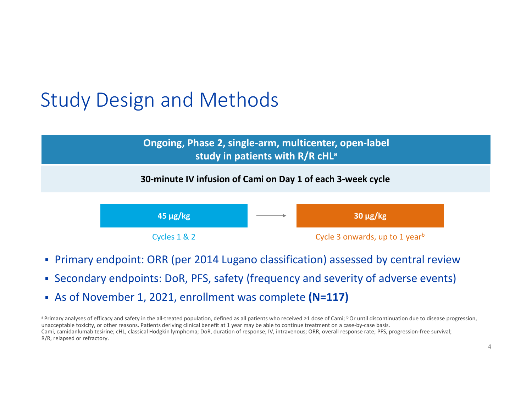# Study Design and Methods



#### **30‐minute IV infusion of Cami on Day 1 of each 3‐week cycle**



- Primary endpoint: ORR (per 2014 Lugano classification) assessed by central review
- Secondary endpoints: DoR, PFS, safety (frequency and severity of adverse events)
- As of November 1, 2021, enrollment was complete **(N=117)**

a Primary analyses of efficacy and safety in the all-treated population, defined as all patients who received ≥1 dose of Cami; <sup>b</sup> Or until discontinuation due to disease progression, unacceptable toxicity, or other reasons. Patients deriving clinical benefit at 1 year may be able to continue treatment on a case-by-case basis. Cami, camidanlumab tesirine; cHL, classical Hodgkin lymphoma; DoR, duration of response; IV, intravenous; ORR, overall response rate; PFS, progression‐free survival; R/R, relapsed or refractory.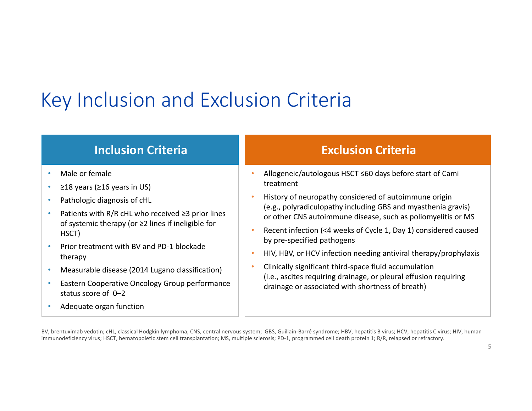# Key Inclusion and Exclusion Criteria

#### **Inclusion Criteria**

- •Male or female
- •≥18 years (≥16 years in US)
- •Pathologic diagnosis of cHL
- •Patients with  $R/R$  cHL who received  $\geq$ 3 prior lines of systemic therapy (or ≥2 lines if ineligible for HSCT)
- • Prior treatment with BV and PD‐1 blockade therapy
- •Measurable disease (2014 Lugano classification)
- • Eastern Cooperative Oncology Group performance status score of 0–2
- •Adequate organ function

#### **Exclusion Criteria**

- • Allogeneic/autologous HSCT ≤60 days before start of Cami treatment
- • History of neuropathy considered of autoimmune origin (e.g., polyradiculopathy including GBS and myasthenia gravis) or other CNS autoimmune disease, such as poliomyelitis or MS
- • Recent infection (<4 weeks of Cycle 1, Day 1) considered caused by pre‐specified pathogens
- •HIV, HBV, or HCV infection needing antiviral therapy/prophylaxis
- • Clinically significant third‐space fluid accumulation (i.e., ascites requiring drainage, or pleural effusion requiring drainage or associated with shortness of breath)

BV, brentuximab vedotin; cHL, classical Hodgkin lymphoma; CNS, central nervous system; GBS, Guillain‐Barré syndrome; HBV, hepatitis B virus; HCV, hepatitis C virus; HIV, human immunodeficiency virus; HSCT, hematopoietic stem cell transplantation; MS, multiple sclerosis; PD-1, programmed cell death protein 1; R/R, relapsed or refractory.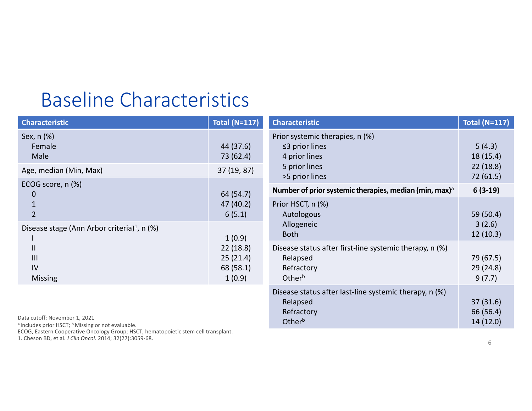## Baseline Characteristics

| <b>Characteristic</b>                                                                       | <b>Total (N=117)</b>                                                                                    | <b>Characteristic</b>                                                                     | <b>Total (N=117)</b>           |
|---------------------------------------------------------------------------------------------|---------------------------------------------------------------------------------------------------------|-------------------------------------------------------------------------------------------|--------------------------------|
| Sex, n (%)<br>Female<br>Male                                                                | 44 (37.6)<br>73 (62.4)                                                                                  | Prior systemic therapies, n (%)<br>$\leq$ 3 prior lines<br>4 prior lines<br>5 prior lines | 5(4.3)<br>18(15.4)<br>22(18.8) |
| Age, median (Min, Max)                                                                      | 37 (19, 87)                                                                                             | >5 prior lines                                                                            | 72 (61.5)                      |
| ECOG score, n (%)<br>$\mathbf 0$                                                            | 64 (54.7)                                                                                               | Number of prior systemic therapies, median (min, max) <sup>a</sup>                        | $6(3-19)$                      |
| $\overline{2}$                                                                              | 47 (40.2)<br>6(5.1)<br>1(0.9)                                                                           | Prior HSCT, n (%)<br>Autologous                                                           | 59 (50.4)                      |
| Disease stage (Ann Arbor criteria) <sup>1</sup> , n (%)                                     |                                                                                                         | Allogeneic<br><b>Both</b>                                                                 | 3(2.6)<br>12(10.3)             |
| $\mathbf{II}$<br>22(18.8)<br>III<br>25(21.4)<br>IV<br>68 (58.1)<br>1(0.9)<br><b>Missing</b> | Disease status after first-line systemic therapy, n (%)<br>Relapsed<br>Refractory<br>Other <sup>b</sup> | 79 (67.5)<br>29(24.8)<br>9(7.7)                                                           |                                |
|                                                                                             |                                                                                                         | Disease status after last-line systemic therapy, n (%)<br>Relapsed                        | 37(31.6)                       |

Refractory Other<sup>b</sup>

Data cutoff: November 1, 2021

<sup>a</sup> Includes prior HSCT; <sup>b</sup> Missing or not evaluable.

ECOG, Eastern Cooperative Oncology Group; HSCT, hematopoietic stem cell transplant.

1. Cheson BD, et al. *J Clin Oncol*. 2014; 32(27):3059‐68.

66 (56.4) 14 (12.0)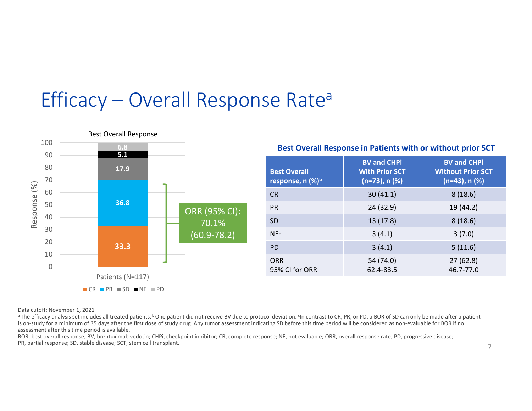# Efficacy – Overall Response Rate a



#### **Best Overall Response in Patients with or without prior SCT**

| <b>Best Overall</b><br>response, $n$ (%) <sup>b</sup> | <b>BV and CHPi</b><br><b>With Prior SCT</b><br>$(n=73)$ , n $(\%)$ | <b>BV and CHPi</b><br><b>Without Prior SCT</b><br>$(n=43)$ , n $(%)$ |
|-------------------------------------------------------|--------------------------------------------------------------------|----------------------------------------------------------------------|
| <b>CR</b>                                             | 30(41.1)                                                           | 8(18.6)                                                              |
| <b>PR</b>                                             | 24 (32.9)                                                          | 19 (44.2)                                                            |
| <b>SD</b>                                             | 13 (17.8)                                                          | 8(18.6)                                                              |
| NE <sub>c</sub>                                       | 3(4.1)                                                             | 3(7.0)                                                               |
| <b>PD</b>                                             | 3(4.1)                                                             | 5(11.6)                                                              |
| ORR<br>95% CI for ORR                                 | 54 (74.0)<br>62.4-83.5                                             | 27(62.8)<br>46.7-77.0                                                |

Data cutoff: November 1, 2021

<sup>a</sup> The efficacy analysis set includes all treated patients. <sup>b</sup> One patient did not receive BV due to protocol deviation. <sup>c</sup>In contrast to CR, PR, or PD, a BOR of SD can only be made after a patient is on-study for a minimum of 35 days after the first dose of study drug. Any tumor assessment indicating SD before this time period will be considered as non-evaluable for BOR if no assessment after this time period is available.

BOR, best overall response; BV, brentuximab vedotin; CHPi, checkpoint inhibitor; CR, complete response; NE, not evaluable; ORR, overall response rate; PD, progressive disease; PR, partial response; SD, stable disease; SCT, stem cell transplant.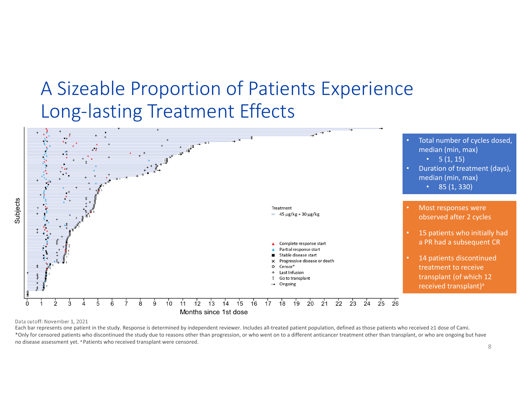### A Sizeable Proportion of Patients Experience Long‐lasting Treatment Effects



Data cutoff: November 1, 2021

Each bar represents one patient in the study. Response is determined by independent reviewer. Includes all-treated patient population, defined as those patients who received ≥1 dose of Cami. \*Only for censored patients who discontinued the study due to reasons other than progression, or who went on to a different anticancer treatment other than transplant, or who are ongoing but have no disease assessment yet. <sup>a</sup> Patients who received transplant were censored.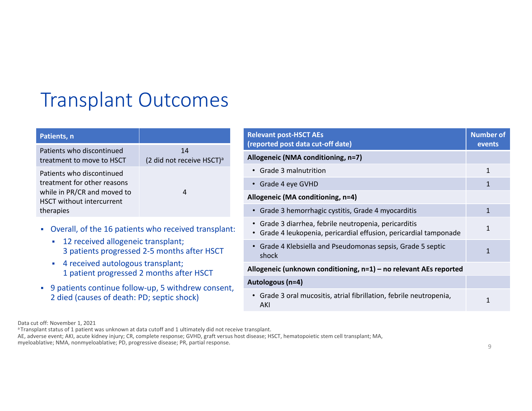# Transplant Outcomes

| Patients, n                                                                                                                              |                                             |
|------------------------------------------------------------------------------------------------------------------------------------------|---------------------------------------------|
| Patients who discontinued<br>treatment to move to HSCT                                                                                   | 14<br>(2 did not receive HSCT) <sup>a</sup> |
| Patients who discontinued<br>treatment for other reasons<br>while in PR/CR and moved to<br><b>HSCT</b> without intercurrent<br>therapies | Δ                                           |

- Overall, of the 16 patients who received transplant:
	- **12 received allogeneic transplant;** 3 patients progressed 2‐5 months after HSCT
	- 4 received autologous transplant; 1 patient progressed 2 months after HSCT
- 9 patients continue follow-up, 5 withdrew consent, 2 died (causes of death: PD; septic shock)

| <b>Relevant post-HSCT AEs</b><br>(reported post data cut-off date)                                                     | <b>Number of</b><br>events |
|------------------------------------------------------------------------------------------------------------------------|----------------------------|
| Allogeneic (NMA conditioning, n=7)                                                                                     |                            |
| <b>Grade 3 malnutrition</b>                                                                                            | $\mathbf{1}$               |
| • Grade 4 eye GVHD                                                                                                     | $\mathbf{1}$               |
| Allogeneic (MA conditioning, n=4)                                                                                      |                            |
| Grade 3 hemorrhagic cystitis, Grade 4 myocarditis<br>$\bullet$                                                         | $\mathbf{1}$               |
| Grade 3 diarrhea, febrile neutropenia, pericarditis<br>Grade 4 leukopenia, pericardial effusion, pericardial tamponade | 1                          |
| Grade 4 Klebsiella and Pseudomonas sepsis, Grade 5 septic<br>shock                                                     | $\mathbf{1}$               |
| Allogeneic (unknown conditioning, n=1) – no relevant AEs reported                                                      |                            |
| Autologous (n=4)                                                                                                       |                            |
| Grade 3 oral mucositis, atrial fibrillation, febrile neutropenia,<br>AKI                                               | $\mathbf{1}$               |

Data cut off: November 1, 2021

AE, adverse event; AKI, acute kidney injury; CR, complete response; GVHD, graft versus host disease; HSCT, hematopoietic stem cell transplant; MA, myeloablative; NMA, nonmyeloablative; PD, progressive disease; PR, partial response.

a Transplant status of 1 patient was unknown at data cutoff and 1 ultimately did not receive transplant.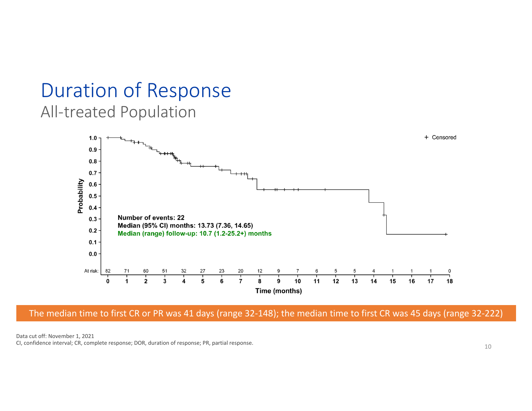### Duration of Response All‐treated Population



The median time to first CR or PR was 41 days (range 32‐148); the median time to first CR was 45 days (range 32‐222)

Data cut off: November 1, 2021 CI, confidence interval; CR, complete response; DOR, duration of response; PR, partial response.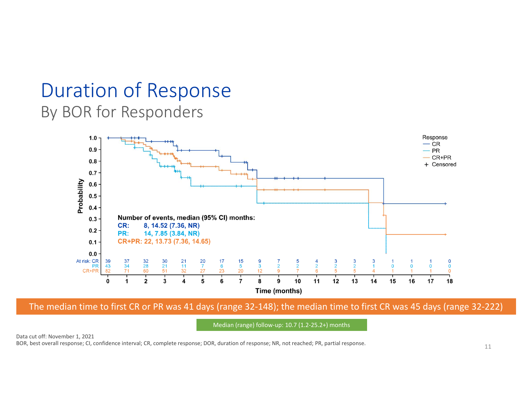### Duration of Response By BOR for Responders



The median time to first CR or PR was 41 days (range 32‐148); the median time to first CR was 45 days (range 32‐222)

Median (range) follow‐up: 10.7 (1.2‐25.2+) months

Data cut off: November 1, 2021 BOR, best overall response; CI, confidence interval; CR, complete response; DOR, duration of response; NR, not reached; PR, partial response.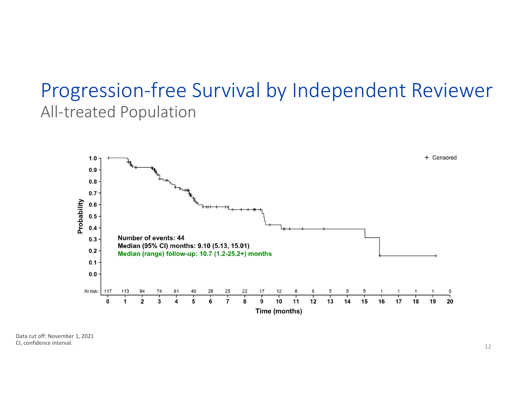### Progression‐free Survival by Independent Reviewer All‐treated Population



Data cut off: November 1, 2021 CI, confidence interval.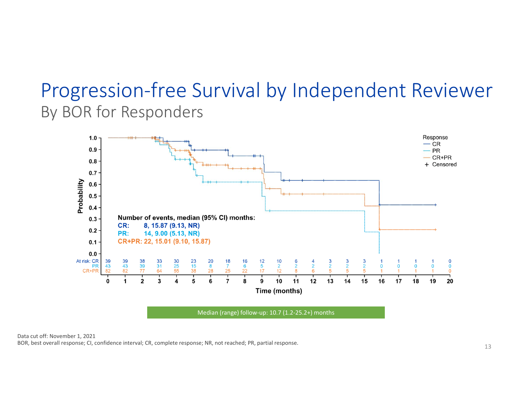## Progression‐free Survival by Independent Reviewer By BOR for Responders



Median (range) follow‐up: 10.7 (1.2‐25.2+) months

Data cut off: November 1, 2021 BOR, best overall response; CI, confidence interval; CR, complete response; NR, not reached; PR, partial response.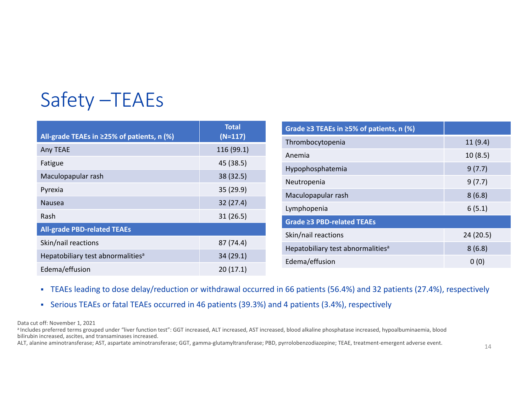# Safety –TEAEs

|                                               | <b>Total</b> | Grade $\geq$ 3 TEAEs in $\geq$ 5% of patients, n (%) |          |
|-----------------------------------------------|--------------|------------------------------------------------------|----------|
| All-grade TEAEs in ≥25% of patients, n (%)    | $(N=117)$    | Thrombocytopenia                                     | 11(9.4)  |
| Any TEAE                                      | 116(99.1)    | Anemia                                               | 10(8.5)  |
| Fatigue                                       | 45 (38.5)    | Hypophosphatemia                                     | 9(7.7)   |
| Maculopapular rash                            | 38(32.5)     |                                                      |          |
| Pyrexia                                       | 35(29.9)     | Neutropenia                                          | 9(7.7)   |
| Nausea                                        | 32(27.4)     | Maculopapular rash                                   | 8(6.8)   |
| Rash                                          | 31(26.5)     | Lymphopenia                                          | 6(5.1)   |
|                                               |              | Grade ≥3 PBD-related TEAEs                           |          |
| <b>All-grade PBD-related TEAEs</b>            |              | Skin/nail reactions                                  | 24(20.5) |
| Skin/nail reactions                           | 87 (74.4)    | Hepatobiliary test abnormalities <sup>a</sup>        | 8(6.8)   |
| Hepatobiliary test abnormalities <sup>a</sup> | 34(29.1)     | Edema/effusion                                       | 0(0)     |
| Edema/effusion                                | 20(17.1)     |                                                      |          |

TEAEs leading to dose delay/reduction or withdrawal occurred in 66 patients (56.4%) and 32 patients (27.4%), respectively

Serious TEAEs or fatal TEAEs occurred in 46 patients (39.3%) and 4 patients (3.4%), respectively

Data cut off: November 1, 2021

a Includes preferred terms grouped under "liver function test": GGT increased, ALT increased, AST increased, blood alkaline phosphatase increased, hypoalbuminaemia, blood bilirubin increased, ascites, and transaminases increased.

ALT, alanine aminotransferase; AST, aspartate aminotransferase; GGT, gamma-glutamyltransferase; PBD, pyrrolobenzodiazepine; TEAE, treatment-emergent adverse event.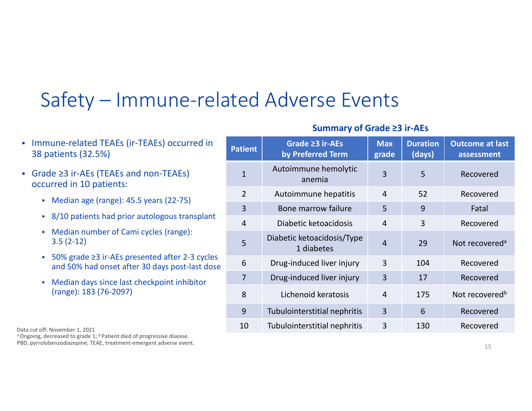# Safety – Immune‐related Adverse Events

- Immune-related TEAEs (ir-TEAEs) occurred in 38 patients (32.5%)
- Grade ≥3 ir‐AEs (TEAEs and non‐TEAEs) occurred in 10 patients:
	- Median age (range): 45.5 years (22-75)
	- 8/10 patients had prior autologous transplant
	- Median number of Cami cycles (range): 3.5 (2‐12)
	- 50% grade ≥3 ir‐AEs presented after 2‐3 cycles and 50% had onset after 30 days post‐last dose
	- Median days since last checkpoint inhibitor (range): 183 (76‐2097)

Data cut off: November 1, 2021

<sup>a</sup> Ongoing, decreased to grade 1; <sup>b</sup> Patient died of progressive disease. PBD, pyrrolobenzodiazepine; TEAE, treatment‐emergent adverse event.

#### **Summary of Grade ≥3 ir‐AEs**

| <b>Patient</b> | Grade $\geq$ 3 ir-AEs<br>by Preferred Term | <b>Max</b><br>grade | <b>Duration</b><br>(days) | <b>Outcome at last</b><br>assessment |
|----------------|--------------------------------------------|---------------------|---------------------------|--------------------------------------|
| $\mathbf{1}$   | Autoimmune hemolytic<br>anemia             | 3                   | 5                         | Recovered                            |
| $\overline{2}$ | Autoimmune hepatitis                       | $\overline{4}$      | 52                        | Recovered                            |
| 3              | Bone marrow failure                        | 5                   | 9                         | Fatal                                |
| $\overline{4}$ | Diabetic ketoacidosis                      | $\overline{4}$      | 3                         | Recovered                            |
| 5              | Diabetic ketoacidosis/Type<br>1 diabetes   | $\overline{4}$      | 29                        | Not recovered <sup>a</sup>           |
| 6              | Drug-induced liver injury                  | 3                   | 104                       | Recovered                            |
| 7              | Drug-induced liver injury                  | 3                   | 17                        | Recovered                            |
| 8              | Lichenoid keratosis                        | $\overline{4}$      | 175                       | Not recovered <sup>b</sup>           |
| 9              | Tubulointerstitial nephritis               | 3                   | 6                         | Recovered                            |
| 10             | Tubulointerstitial nephritis               | 3                   | 130                       | Recovered                            |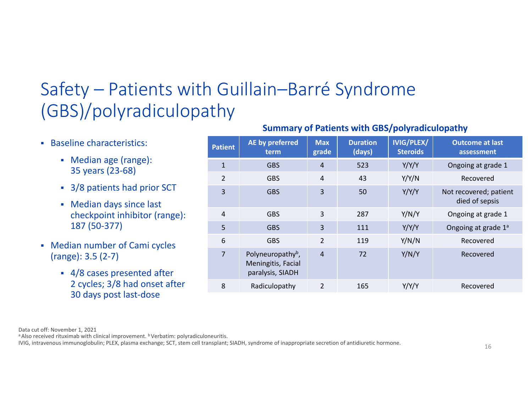## Safety – Patients with Guillain–Barré Syndrome (GBS)/polyradiculopathy

- Baseline characteristics:
	- Median age (range): 35 years (23‐68)
	- 3/8 patients had prior SCT
	- Median days since last checkpoint inhibitor (range): 187 (50‐377)
- Median number of Cami cycles (range): 3.5 (2‐7)
	- 4/8 cases presented after 2 cycles; 3/8 had onset after 30 days post last‐dose

#### **Summary of Patients with GBS/polyradiculopathy**

| <b>Patient</b> | AE by preferred<br>term                                                 | <b>Max</b><br>grade | <b>Duration</b><br>(days) | <b>IVIG/PLEX/</b><br><b>Steroids</b> | <b>Outcome at last</b><br>assessment     |
|----------------|-------------------------------------------------------------------------|---------------------|---------------------------|--------------------------------------|------------------------------------------|
| $\mathbf{1}$   | <b>GBS</b>                                                              | 4                   | 523                       | Y/Y/Y                                | Ongoing at grade 1                       |
| $\overline{2}$ | <b>GBS</b>                                                              | 4                   | 43                        | Y/Y/N                                | Recovered                                |
| $\overline{3}$ | <b>GBS</b>                                                              | 3                   | 50                        | Y/Y/Y                                | Not recovered; patient<br>died of sepsis |
| $\overline{4}$ | <b>GBS</b>                                                              | 3                   | 287                       | Y/N/Y                                | Ongoing at grade 1                       |
| 5              | <b>GBS</b>                                                              | 3                   | 111                       | Y/Y/Y                                | Ongoing at grade 1ª                      |
| 6              | <b>GBS</b>                                                              | $\overline{2}$      | 119                       | Y/N/N                                | Recovered                                |
| $\overline{7}$ | Polyneuropathy <sup>b</sup> ,<br>Meningitis, Facial<br>paralysis, SIADH | $\overline{4}$      | 72                        | Y/N/Y                                | Recovered                                |
| 8              | Radiculopathy                                                           | $\overline{2}$      | 165                       | Y/Y/Y                                | Recovered                                |
|                |                                                                         |                     |                           |                                      |                                          |

Data cut off: November 1, 2021

<sup>a</sup> Also received rituximab with clinical improvement. <sup>b</sup> Verbatim: polyradiculoneuritis.

IVIG, intravenous immunoglobulin; PLEX, plasma exchange; SCT, stem cell transplant; SIADH, syndrome of inappropriate secretion of antidiuretic hormone.